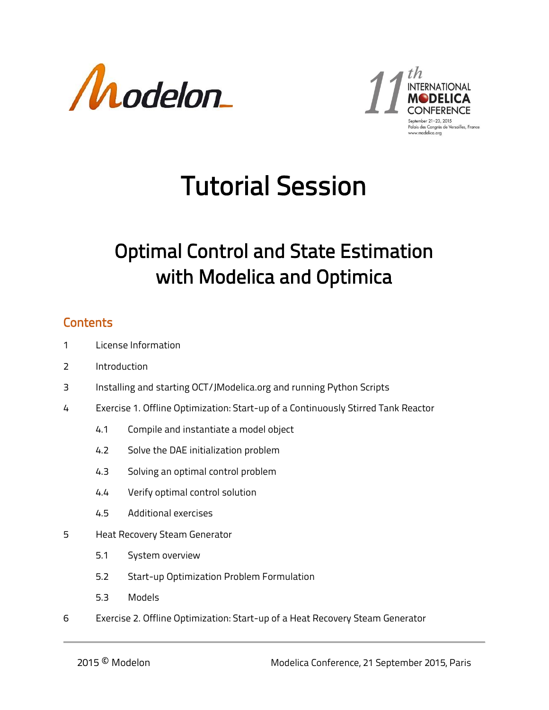



Palais des Conarès de Versailles France

## Tutorial Session

## Optimal Control and State Estimation with Modelica and Optimica

## **Contents**

- 1 License Information
- 2 Introduction
- 3 Installing and starting OCT/JModelica.org and running Python Scripts
- 4 Exercise 1. Offline Optimization: Start-up of a Continuously Stirred Tank Reactor
	- 4.1 Compile and instantiate a model object
	- 4.2 Solve the DAE initialization problem
	- 4.3 Solving an optimal control problem
	- 4.4 Verify optimal control solution
	- 4.5 Additional exercises
- 5 Heat Recovery Steam Generator
	- 5.1 System overview
	- 5.2 Start-up Optimization Problem Formulation
	- 5.3 Models
- 6 Exercise 2. Offline Optimization: Start-up of a Heat Recovery Steam Generator